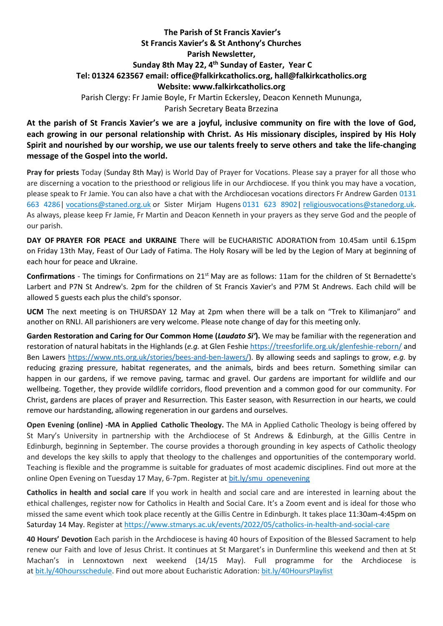## **The Parish of St Francis Xavier's St Francis Xavier's & St Anthony's Churches Parish Newsletter, Sunday 8th May 22, 4 th Sunday of Easter, Year C Tel: 01324 623567 email: office@falkirkcatholics.org, [hall@falkirkcatholics.org](mailto:hall@falkirkcatholics.org) Website: [www.falkirkcatholics.org](http://www.falkirkcatholics.org/)**  Parish Clergy: Fr Jamie Boyle, Fr Martin Eckersley, Deacon Kenneth Mununga, Parish Secretary Beata Brzezina

**At the parish of St Francis Xavier's we are a joyful, inclusive community on fire with the love of God, each growing in our personal relationship with Christ. As His missionary disciples, inspired by His Holy Spirit and nourished by our worship, we use our talents freely to serve others and take the life-changing message of the Gospel into the world.** 

**Pray for priests** Today (Sunday 8th May) is World Day of Prayer for Vocations. Please say a prayer for all those who are discerning a vocation to the priesthood or religious life in our Archdiocese. If you think you may have a vocation, please speak to Fr Jamie. You can also have a chat with the Archdiocesan vocations directors Fr Andrew Garden 0131 663 4286| [vocations@staned.org.uk](https://mailto:vocations@staned.org.uk/) or Sister Mirjam Hugens 0131 623 8902| [religiousvocations@stanedorg.uk.](https://mailto:religiousvocations@stanedorg.uk/) As always, please keep Fr Jamie, Fr Martin and Deacon Kenneth in your prayers as they serve God and the people of our parish.

**DAY OF PRAYER FOR PEACE and UKRAINE** There will be EUCHARISTIC ADORATION from 10.45am until 6.15pm on Friday 13th May, Feast of Our Lady of Fatima. The Holy Rosary will be led by the Legion of Mary at beginning of each hour for peace and Ukraine.

**Confirmations** - The timings for Confirmations on 21st May are as follows: 11am for the children of St Bernadette's Larbert and P7N St Andrew's. 2pm for the children of St Francis Xavier's and P7M St Andrews. Each child will be allowed 5 guests each plus the child's sponsor.

**UCM** The next meeting is on THURSDAY 12 May at 2pm when there will be a talk on "Trek to Kilimanjaro" and another on RNLI. All parishioners are very welcome. Please note change of day for this meeting only.

Garden Restoration and Caring for Our Common Home (*Laudato Si'*). We may be familiar with the regeneration and restoration of natural habitats in the Highlands (*e.g.* at Glen Feshie<https://treesforlife.org.uk/glenfeshie-reborn/> and Ben Lawers [https://www.nts.org.uk/stories/bees-and-ben-lawers/\)](https://www.nts.org.uk/stories/bees-and-ben-lawers/). By allowing seeds and saplings to grow, *e.g.* by reducing grazing pressure, habitat regenerates, and the animals, birds and bees return. Something similar can happen in our gardens, if we remove paving, tarmac and gravel. Our gardens are important for wildlife and our wellbeing. Together, they provide wildlife corridors, flood prevention and a common good for our community. For Christ, gardens are places of prayer and Resurrection. This Easter season, with Resurrection in our hearts, we could remove our hardstanding, allowing regeneration in our gardens and ourselves.

**Open Evening (online) -MA in Applied Catholic Theology.** The MA in Applied Catholic Theology is being offered by St Mary's University in partnership with the Archdiocese of St Andrews & Edinburgh, at the Gillis Centre in Edinburgh, beginning in September. The course provides a thorough grounding in key aspects of Catholic theology and develops the key skills to apply that theology to the challenges and opportunities of the contemporary world. Teaching is flexible and the programme is suitable for graduates of most academic disciplines. Find out more at the online Open Evening on Tuesday 17 May, 6-7pm. Register at [bit.ly/smu\\_openevening](https://nam12.safelinks.protection.outlook.com/?url=https%3A%2F%2Fus02web.zoom.us%2Fwebinar%2Fregister%2FWN_Bt6IlaNOThWbqhRPTeISyg&data=05%7C01%7C%7Cb803e93f82014ecc54f308da285a66fe%7C84df9e7fe9f640afb435aaaaaaaaaaaa%7C1%7C0%7C637866666376761636%7CUnknown%7CTWFpbGZsb3d8eyJWIjoiMC4wLjAwMDAiLCJQIjoiV2luMzIiLCJBTiI6Ik1haWwiLCJXVCI6Mn0%3D%7C3000%7C%7C%7C&sdata=acMVjtnbuSqeTnWFZuxHaVvQwYVBAVv1hDS%2BMbhb5W4%3D&reserved=0)

**Catholics in health and social care** If you work in health and social care and are interested in learning about the ethical challenges, register now for Catholics in Health and Social Care. It's a Zoom event and is ideal for those who missed the same event which took place recently at the Gillis Centre in Edinburgh. It takes place 11:30am-4:45pm on Saturday 14 May. Register at <https://www.stmarys.ac.uk/events/2022/05/catholics-in-health-and-social-care>

**40 Hours' Devotion** Each parish in the Archdiocese is having 40 hours of Exposition of the Blessed Sacrament to help renew our Faith and love of Jesus Christ. It continues at St Margaret's in Dunfermline this weekend and then at St Machan's in Lennoxtown next weekend (14/15 May). Full programme for the Archdiocese is at [bit.ly/40hoursschedule.](https://bit.ly/40hoursschedule?fbclid=IwAR2SjJ2jLYhcQumxKK24uHJHDu0y-uda3HFzPBQ4uxFkH3KVV6pbMOMH8xU) Find out more about Eucharistic Adoration: [bit.ly/40HoursPlaylist](https://www.youtube.com/playlist?list=PLQv_xMj23KQhTlXah0pBiYjsZDFx2grae)